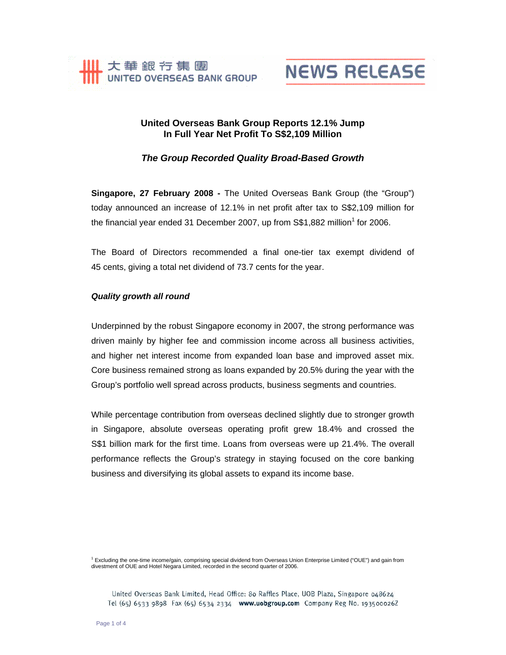



# **United Overseas Bank Group Reports 12.1% Jump In Full Year Net Profit To S\$2,109 Million**

*The Group Recorded Quality Broad-Based Growth* 

**Singapore, 27 February 2008 -** The United Overseas Bank Group (the "Group") today announced an increase of 12.1% in net profit after tax to S\$2,109 million for the financial year ended 31 December 2007, up from  $\$1,882$  million<sup>1</sup> for 2006.

The Board of Directors recommended a final one-tier tax exempt dividend of 45 cents, giving a total net dividend of 73.7 cents for the year.

# *Quality growth all round*

Underpinned by the robust Singapore economy in 2007, the strong performance was driven mainly by higher fee and commission income across all business activities, and higher net interest income from expanded loan base and improved asset mix. Core business remained strong as loans expanded by 20.5% during the year with the Group's portfolio well spread across products, business segments and countries.

While percentage contribution from overseas declined slightly due to stronger growth in Singapore, absolute overseas operating profit grew 18.4% and crossed the S\$1 billion mark for the first time. Loans from overseas were up 21.4%. The overall performance reflects the Group's strategy in staying focused on the core banking business and diversifying its global assets to expand its income base.

<sup>1</sup> Excluding the one-time income/gain, comprising special dividend from Overseas Union Enterprise Limited ("OUE") and gain from divestment of OUE and Hotel Negara Limited, recorded in the second quarter of 2006.

United Overseas Bank Limited, Head Office: 80 Raffles Place, UOB Plaza, Singapore 048624 Tel (65) 6533 9898 Fax (65) 6534 2334 www.uobgroup.com Company Reg No. 193500026Z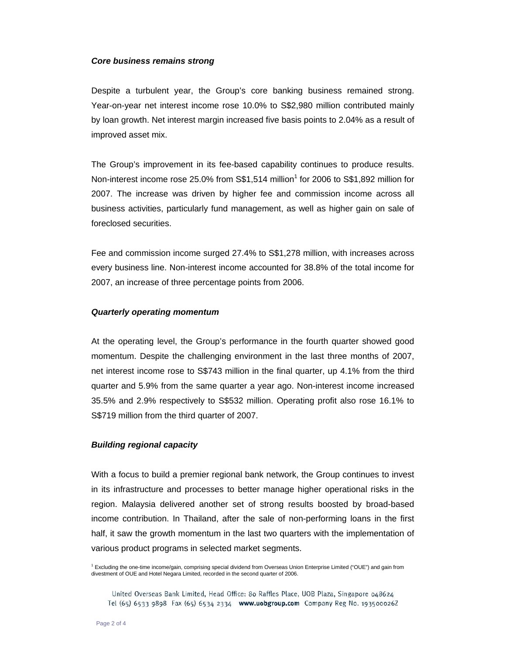## *Core business remains strong*

Despite a turbulent year, the Group's core banking business remained strong. Year-on-year net interest income rose 10.0% to S\$2,980 million contributed mainly by loan growth. Net interest margin increased five basis points to 2.04% as a result of improved asset mix.

The Group's improvement in its fee-based capability continues to produce results. Non-interest income rose 25.0% from S\$1,514 million<sup>1</sup> for 2006 to S\$1,892 million for 2007. The increase was driven by higher fee and commission income across all business activities, particularly fund management, as well as higher gain on sale of foreclosed securities.

Fee and commission income surged 27.4% to S\$1,278 million, with increases across every business line. Non-interest income accounted for 38.8% of the total income for 2007, an increase of three percentage points from 2006.

## *Quarterly operating momentum*

At the operating level, the Group's performance in the fourth quarter showed good momentum. Despite the challenging environment in the last three months of 2007, net interest income rose to S\$743 million in the final quarter, up 4.1% from the third quarter and 5.9% from the same quarter a year ago. Non-interest income increased 35.5% and 2.9% respectively to S\$532 million. Operating profit also rose 16.1% to S\$719 million from the third quarter of 2007.

### *Building regional capacity*

With a focus to build a premier regional bank network, the Group continues to invest in its infrastructure and processes to better manage higher operational risks in the region. Malaysia delivered another set of strong results boosted by broad-based income contribution. In Thailand, after the sale of non-performing loans in the first half, it saw the growth momentum in the last two quarters with the implementation of various product programs in selected market segments.

<sup>1</sup> Excluding the one-time income/gain, comprising special dividend from Overseas Union Enterprise Limited ("OUE") and gain from divestment of OUE and Hotel Negara Limited, recorded in the second quarter of 2006.

United Overseas Bank Limited, Head Office: 80 Raffles Place, UOB Plaza, Singapore 048624 Tel (65) 6533 9898 Fax (65) 6534 2334 www.uobgroup.com Company Reg No. 193500026Z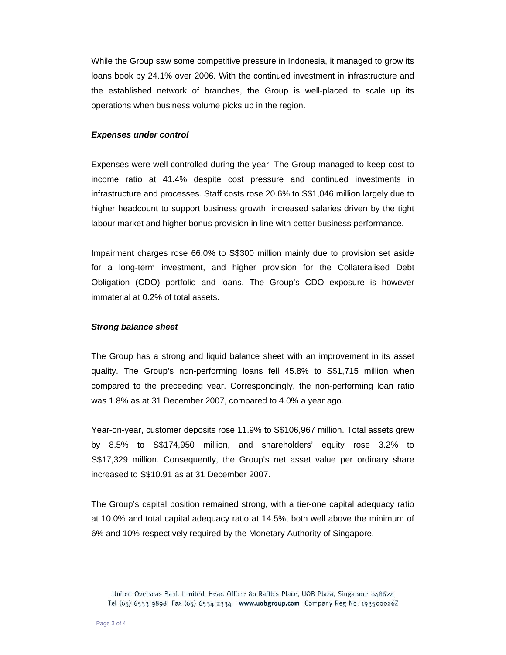While the Group saw some competitive pressure in Indonesia, it managed to grow its loans book by 24.1% over 2006. With the continued investment in infrastructure and the established network of branches, the Group is well-placed to scale up its operations when business volume picks up in the region.

#### *Expenses under control*

Expenses were well-controlled during the year. The Group managed to keep cost to income ratio at 41.4% despite cost pressure and continued investments in infrastructure and processes. Staff costs rose 20.6% to S\$1,046 million largely due to higher headcount to support business growth, increased salaries driven by the tight labour market and higher bonus provision in line with better business performance.

Impairment charges rose 66.0% to S\$300 million mainly due to provision set aside for a long-term investment, and higher provision for the Collateralised Debt Obligation (CDO) portfolio and loans. The Group's CDO exposure is however immaterial at 0.2% of total assets.

#### *Strong balance sheet*

The Group has a strong and liquid balance sheet with an improvement in its asset quality. The Group's non-performing loans fell 45.8% to S\$1,715 million when compared to the preceeding year. Correspondingly, the non-performing loan ratio was 1.8% as at 31 December 2007, compared to 4.0% a year ago.

Year-on-year, customer deposits rose 11.9% to S\$106,967 million. Total assets grew by 8.5% to S\$174,950 million, and shareholders' equity rose 3.2% to S\$17,329 million. Consequently, the Group's net asset value per ordinary share increased to S\$10.91 as at 31 December 2007.

The Group's capital position remained strong, with a tier-one capital adequacy ratio at 10.0% and total capital adequacy ratio at 14.5%, both well above the minimum of 6% and 10% respectively required by the Monetary Authority of Singapore.